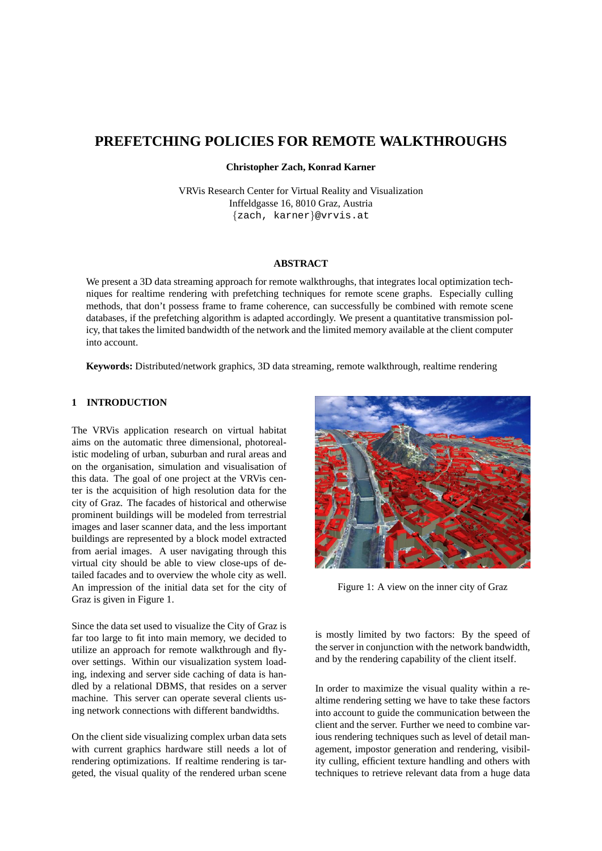# **PREFETCHING POLICIES FOR REMOTE WALKTHROUGHS**

**Christopher Zach, Konrad Karner**

VRVis Research Center for Virtual Reality and Visualization Inffeldgasse 16, 8010 Graz, Austria {zach, karner}@vrvis.at

## **ABSTRACT**

We present a 3D data streaming approach for remote walkthroughs, that integrates local optimization techniques for realtime rendering with prefetching techniques for remote scene graphs. Especially culling methods, that don't possess frame to frame coherence, can successfully be combined with remote scene databases, if the prefetching algorithm is adapted accordingly. We present a quantitative transmission policy, that takes the limited bandwidth of the network and the limited memory available at the client computer into account.

**Keywords:** Distributed/network graphics, 3D data streaming, remote walkthrough, realtime rendering

# **1 INTRODUCTION**

The VRVis application research on virtual habitat aims on the automatic three dimensional, photorealistic modeling of urban, suburban and rural areas and on the organisation, simulation and visualisation of this data. The goal of one project at the VRVis center is the acquisition of high resolution data for the city of Graz. The facades of historical and otherwise prominent buildings will be modeled from terrestrial images and laser scanner data, and the less important buildings are represented by a block model extracted from aerial images. A user navigating through this virtual city should be able to view close-ups of detailed facades and to overview the whole city as well. An impression of the initial data set for the city of Graz is given in Figure 1.

Since the data set used to visualize the City of Graz is far too large to fit into main memory, we decided to utilize an approach for remote walkthrough and flyover settings. Within our visualization system loading, indexing and server side caching of data is handled by a relational DBMS, that resides on a server machine. This server can operate several clients using network connections with different bandwidths.

On the client side visualizing complex urban data sets with current graphics hardware still needs a lot of rendering optimizations. If realtime rendering is targeted, the visual quality of the rendered urban scene



Figure 1: A view on the inner city of Graz

is mostly limited by two factors: By the speed of the server in conjunction with the network bandwidth, and by the rendering capability of the client itself.

In order to maximize the visual quality within a realtime rendering setting we have to take these factors into account to guide the communication between the client and the server. Further we need to combine various rendering techniques such as level of detail management, impostor generation and rendering, visibility culling, efficient texture handling and others with techniques to retrieve relevant data from a huge data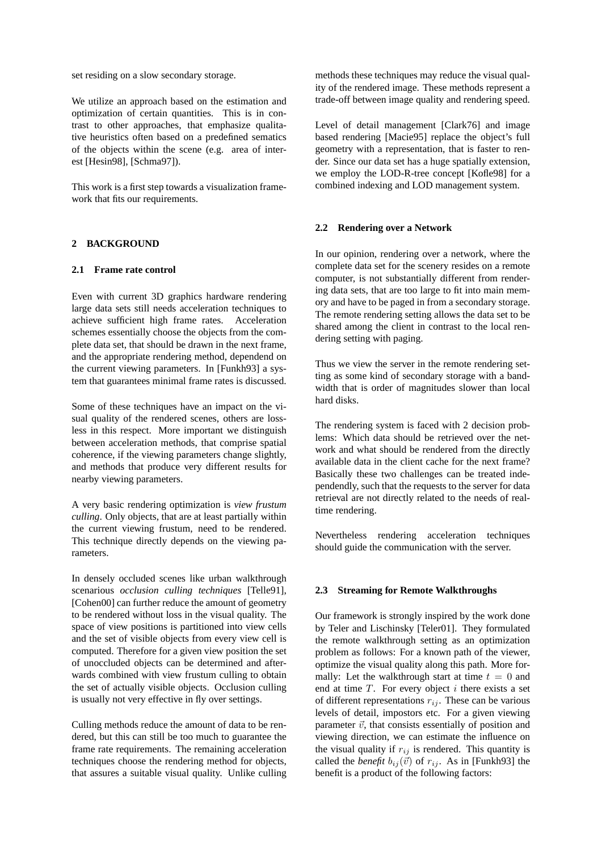set residing on a slow secondary storage.

We utilize an approach based on the estimation and optimization of certain quantities. This is in contrast to other approaches, that emphasize qualitative heuristics often based on a predefined sematics of the objects within the scene (e.g. area of interest [Hesin98], [Schma97]).

This work is a first step towards a visualization framework that fits our requirements.

#### **2 BACKGROUND**

## **2.1 Frame rate control**

Even with current 3D graphics hardware rendering large data sets still needs acceleration techniques to achieve sufficient high frame rates. Acceleration schemes essentially choose the objects from the complete data set, that should be drawn in the next frame, and the appropriate rendering method, dependend on the current viewing parameters. In [Funkh93] a system that guarantees minimal frame rates is discussed.

Some of these techniques have an impact on the visual quality of the rendered scenes, others are lossless in this respect. More important we distinguish between acceleration methods, that comprise spatial coherence, if the viewing parameters change slightly, and methods that produce very different results for nearby viewing parameters.

A very basic rendering optimization is *view frustum culling*. Only objects, that are at least partially within the current viewing frustum, need to be rendered. This technique directly depends on the viewing parameters.

In densely occluded scenes like urban walkthrough scenarious *occlusion culling techniques* [Telle91], [Cohen00] can further reduce the amount of geometry to be rendered without loss in the visual quality. The space of view positions is partitioned into view cells and the set of visible objects from every view cell is computed. Therefore for a given view position the set of unoccluded objects can be determined and afterwards combined with view frustum culling to obtain the set of actually visible objects. Occlusion culling is usually not very effective in fly over settings.

Culling methods reduce the amount of data to be rendered, but this can still be too much to guarantee the frame rate requirements. The remaining acceleration techniques choose the rendering method for objects, that assures a suitable visual quality. Unlike culling methods these techniques may reduce the visual quality of the rendered image. These methods represent a trade-off between image quality and rendering speed.

Level of detail management [Clark76] and image based rendering [Macie95] replace the object's full geometry with a representation, that is faster to render. Since our data set has a huge spatially extension, we employ the LOD-R-tree concept [Kofle98] for a combined indexing and LOD management system.

## **2.2 Rendering over a Network**

In our opinion, rendering over a network, where the complete data set for the scenery resides on a remote computer, is not substantially different from rendering data sets, that are too large to fit into main memory and have to be paged in from a secondary storage. The remote rendering setting allows the data set to be shared among the client in contrast to the local rendering setting with paging.

Thus we view the server in the remote rendering setting as some kind of secondary storage with a bandwidth that is order of magnitudes slower than local hard disks.

The rendering system is faced with 2 decision problems: Which data should be retrieved over the network and what should be rendered from the directly available data in the client cache for the next frame? Basically these two challenges can be treated independendly, such that the requests to the server for data retrieval are not directly related to the needs of realtime rendering.

Nevertheless rendering acceleration techniques should guide the communication with the server.

## **2.3 Streaming for Remote Walkthroughs**

Our framework is strongly inspired by the work done by Teler and Lischinsky [Teler01]. They formulated the remote walkthrough setting as an optimization problem as follows: For a known path of the viewer, optimize the visual quality along this path. More formally: Let the walkthrough start at time  $t = 0$  and end at time  $T$ . For every object  $i$  there exists a set of different representations  $r_{ij}$ . These can be various levels of detail, impostors etc. For a given viewing parameter  $\vec{v}$ , that consists essentially of position and viewing direction, we can estimate the influence on the visual quality if  $r_{ij}$  is rendered. This quantity is called the *benefit*  $b_{ij}(\vec{v})$  of  $r_{ij}$ . As in [Funkh93] the benefit is a product of the following factors: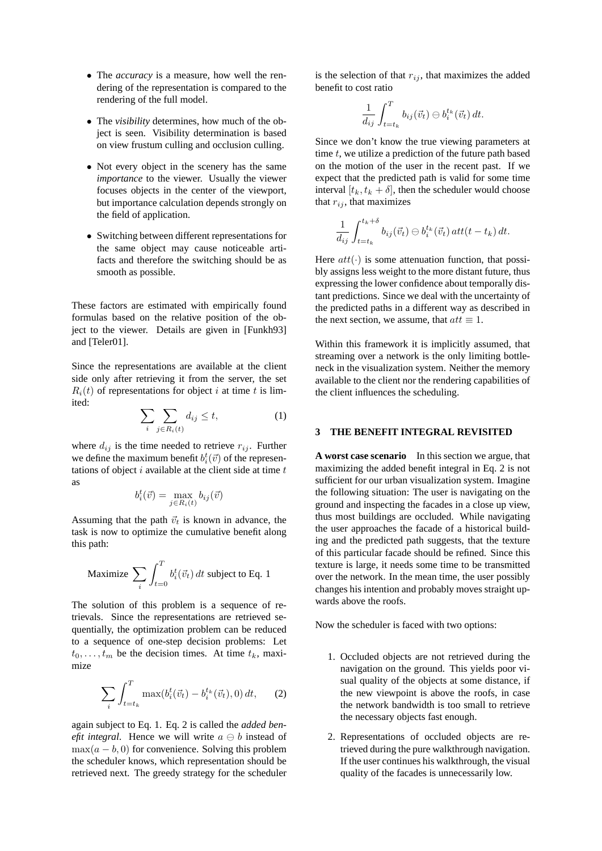- The *accuracy* is a measure, how well the rendering of the representation is compared to the rendering of the full model.
- The *visibility* determines, how much of the object is seen. Visibility determination is based on view frustum culling and occlusion culling.
- Not every object in the scenery has the same *importance* to the viewer. Usually the viewer focuses objects in the center of the viewport, but importance calculation depends strongly on the field of application.
- Switching between different representations for the same object may cause noticeable artifacts and therefore the switching should be as smooth as possible.

These factors are estimated with empirically found formulas based on the relative position of the object to the viewer. Details are given in [Funkh93] and [Teler01].

Since the representations are available at the client side only after retrieving it from the server, the set  $R_i(t)$  of representations for object i at time t is limited:

$$
\sum_{i} \sum_{j \in R_i(t)} d_{ij} \le t,\tag{1}
$$

where  $d_{ij}$  is the time needed to retrieve  $r_{ij}$ . Further we define the maximum benefit  $b_i^t(\vec{v})$  of the representations of object  $i$  available at the client side at time  $t$ as

$$
b_i^t(\vec{v}) = \max_{j \in R_i(t)} b_{ij}(\vec{v})
$$

Assuming that the path  $\vec{v}_t$  is known in advance, the task is now to optimize the cumulative benefit along this path:

Maximize 
$$
\sum_{i} \int_{t=0}^{T} b_i^t(\vec{v}_t) dt
$$
 subject to Eq. 1

The solution of this problem is a sequence of retrievals. Since the representations are retrieved sequentially, the optimization problem can be reduced to a sequence of one-step decision problems: Let  $t_0, \ldots, t_m$  be the decision times. At time  $t_k$ , maximize

$$
\sum_{i} \int_{t=t_k}^{T} \max(b_i^t(\vec{v}_t) - b_i^{t_k}(\vec{v}_t), 0) dt, \qquad (2)
$$

again subject to Eq. 1. Eq. 2 is called the *added benefit integral.* Hence we will write  $a \oplus b$  instead of  $\max(a - b, 0)$  for convenience. Solving this problem the scheduler knows, which representation should be retrieved next. The greedy strategy for the scheduler

is the selection of that  $r_{ij}$ , that maximizes the added benefit to cost ratio

$$
\frac{1}{d_{ij}}\int_{t=t_k}^T b_{ij}(\vec{v}_t) \ominus b_i^{t_k}(\vec{v}_t) dt.
$$

Since we don't know the true viewing parameters at time  $t$ , we utilize a prediction of the future path based on the motion of the user in the recent past. If we expect that the predicted path is valid for some time interval  $[t_k, t_k + \delta]$ , then the scheduler would choose that  $r_{ij}$ , that maximizes

$$
\frac{1}{d_{ij}}\int_{t=t_k}^{t_k+\delta} b_{ij}(\vec{v}_t) \ominus b_i^{t_k}(\vec{v}_t) \, att(t-t_k) \, dt.
$$

Here  $att(\cdot)$  is some attenuation function, that possibly assigns less weight to the more distant future, thus expressing the lower confidence about temporally distant predictions. Since we deal with the uncertainty of the predicted paths in a different way as described in the next section, we assume, that  $att \equiv 1$ .

Within this framework it is implicitly assumed, that streaming over a network is the only limiting bottleneck in the visualization system. Neither the memory available to the client nor the rendering capabilities of the client influences the scheduling.

#### **3 THE BENEFIT INTEGRAL REVISITED**

**A worst case scenario** In this section we argue, that maximizing the added benefit integral in Eq. 2 is not sufficient for our urban visualization system. Imagine the following situation: The user is navigating on the ground and inspecting the facades in a close up view, thus most buildings are occluded. While navigating the user approaches the facade of a historical building and the predicted path suggests, that the texture of this particular facade should be refined. Since this texture is large, it needs some time to be transmitted over the network. In the mean time, the user possibly changes his intention and probably moves straight upwards above the roofs.

Now the scheduler is faced with two options:

- 1. Occluded objects are not retrieved during the navigation on the ground. This yields poor visual quality of the objects at some distance, if the new viewpoint is above the roofs, in case the network bandwidth is too small to retrieve the necessary objects fast enough.
- 2. Representations of occluded objects are retrieved during the pure walkthrough navigation. If the user continues his walkthrough, the visual quality of the facades is unnecessarily low.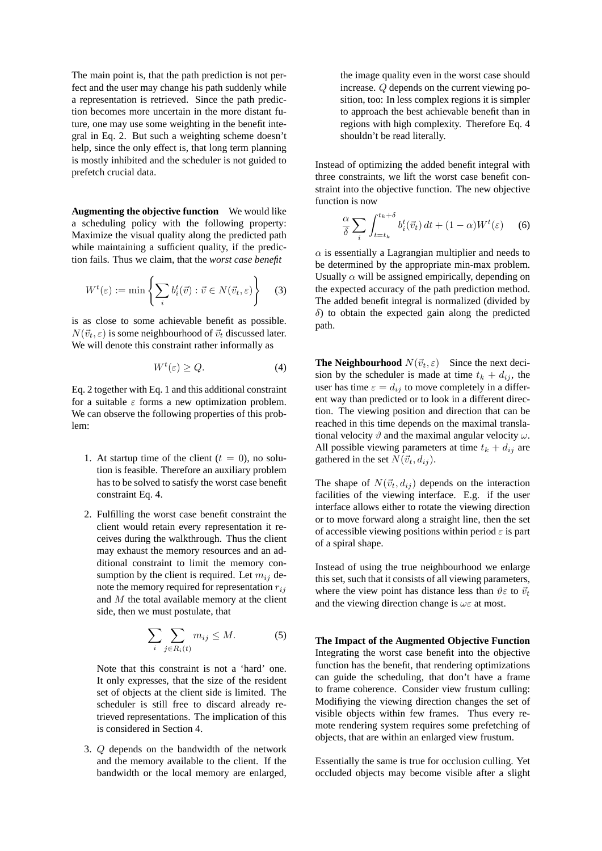The main point is, that the path prediction is not perfect and the user may change his path suddenly while a representation is retrieved. Since the path prediction becomes more uncertain in the more distant future, one may use some weighting in the benefit integral in Eq. 2. But such a weighting scheme doesn't help, since the only effect is, that long term planning is mostly inhibited and the scheduler is not guided to prefetch crucial data.

**Augmenting the objective function** We would like a scheduling policy with the following property: Maximize the visual quality along the predicted path while maintaining a sufficient quality, if the prediction fails. Thus we claim, that the *worst case benefit*

$$
W^{t}(\varepsilon) := \min \left\{ \sum_{i} b_{i}^{t}(\vec{v}) : \vec{v} \in N(\vec{v}_{t}, \varepsilon) \right\} \quad (3)
$$

is as close to some achievable benefit as possible.  $N(\vec{v}_t, \varepsilon)$  is some neighbourhood of  $\vec{v}_t$  discussed later. We will denote this constraint rather informally as

$$
W^t(\varepsilon) \ge Q. \tag{4}
$$

Eq. 2 together with Eq. 1 and this additional constraint for a suitable  $\varepsilon$  forms a new optimization problem. We can observe the following properties of this problem:

- 1. At startup time of the client  $(t = 0)$ , no solution is feasible. Therefore an auxiliary problem has to be solved to satisfy the worst case benefit constraint Eq. 4.
- 2. Fulfilling the worst case benefit constraint the client would retain every representation it receives during the walkthrough. Thus the client may exhaust the memory resources and an additional constraint to limit the memory consumption by the client is required. Let  $m_{ij}$  denote the memory required for representation  $r_{ij}$ and  $M$  the total available memory at the client side, then we must postulate, that

$$
\sum_{i} \sum_{j \in R_i(t)} m_{ij} \le M. \tag{5}
$$

Note that this constraint is not a 'hard' one. It only expresses, that the size of the resident set of objects at the client side is limited. The scheduler is still free to discard already retrieved representations. The implication of this is considered in Section 4.

3. Q depends on the bandwidth of the network and the memory available to the client. If the bandwidth or the local memory are enlarged,

the image quality even in the worst case should increase. Q depends on the current viewing position, too: In less complex regions it is simpler to approach the best achievable benefit than in regions with high complexity. Therefore Eq. 4 shouldn't be read literally.

Instead of optimizing the added benefit integral with three constraints, we lift the worst case benefit constraint into the objective function. The new objective function is now

$$
\frac{\alpha}{\delta} \sum_{i} \int_{t=t_k}^{t_k+\delta} b_i^t(\vec{v}_t) dt + (1-\alpha) W^t(\varepsilon) \tag{6}
$$

 $\alpha$  is essentially a Lagrangian multiplier and needs to be determined by the appropriate min-max problem. Usually  $\alpha$  will be assigned empirically, depending on the expected accuracy of the path prediction method. The added benefit integral is normalized (divided by  $\delta$ ) to obtain the expected gain along the predicted path.

**The Neighbourhood**  $N(\vec{v}_t, \varepsilon)$  Since the next decision by the scheduler is made at time  $t_k + d_{ij}$ , the user has time  $\varepsilon = d_{ij}$  to move completely in a different way than predicted or to look in a different direction. The viewing position and direction that can be reached in this time depends on the maximal translational velocity  $\vartheta$  and the maximal angular velocity  $\omega$ . All possible viewing parameters at time  $t_k + d_{ij}$  are gathered in the set  $N(\vec{v}_t, d_{ij})$ .

The shape of  $N(\vec{v}_t, d_{ij})$  depends on the interaction facilities of the viewing interface. E.g. if the user interface allows either to rotate the viewing direction or to move forward along a straight line, then the set of accessible viewing positions within period  $\varepsilon$  is part of a spiral shape.

Instead of using the true neighbourhood we enlarge this set, such that it consists of all viewing parameters, where the view point has distance less than  $\vartheta \varepsilon$  to  $\vec{v}_t$ and the viewing direction change is  $\omega \varepsilon$  at most.

**The Impact of the Augmented Objective Function** Integrating the worst case benefit into the objective function has the benefit, that rendering optimizations can guide the scheduling, that don't have a frame to frame coherence. Consider view frustum culling: Modifiying the viewing direction changes the set of visible objects within few frames. Thus every remote rendering system requires some prefetching of objects, that are within an enlarged view frustum.

Essentially the same is true for occlusion culling. Yet occluded objects may become visible after a slight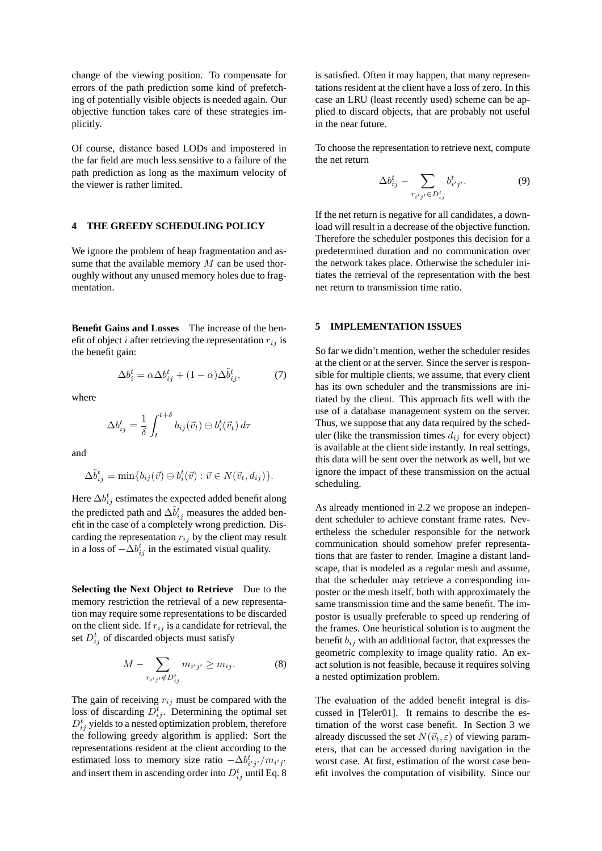change of the viewing position. To compensate for errors of the path prediction some kind of prefetching of potentially visible objects is needed again. Our objective function takes care of these strategies implicitly.

Of course, distance based LODs and impostered in the far field are much less sensitive to a failure of the path prediction as long as the maximum velocity of the viewer is rather limited.

## **4 THE GREEDY SCHEDULING POLICY**

We ignore the problem of heap fragmentation and assume that the available memory  $M$  can be used thoroughly without any unused memory holes due to fragmentation.

**Benefit Gains and Losses** The increase of the benefit of object i after retrieving the representation  $r_{ij}$  is the benefit gain:

$$
\Delta b_i^t = \alpha \Delta b_{ij}^t + (1 - \alpha) \Delta \tilde{b}_{ij}^t,\tag{7}
$$

where

$$
\Delta b_{ij}^t = \frac{1}{\delta} \int_t^{t+\delta} b_{ij}(\vec{v}_t) \ominus b_i^t(\vec{v}_t) d\tau
$$

and

$$
\Delta \tilde{b}_{ij}^t = \min \{ b_{ij}(\vec{v}) \ominus b_i^t(\vec{v}) : \vec{v} \in N(\vec{v}_t, d_{ij}) \}.
$$

Here  $\Delta b_{ij}^t$  estimates the expected added benefit along the predicted path and  $\Delta \tilde{b}_{ij}^t$  measures the added benefit in the case of a completely wrong prediction. Discarding the representation  $r_{ij}$  by the client may result in a loss of  $-\Delta b_{ij}^t$  in the estimated visual quality.

**Selecting the Next Object to Retrieve** Due to the memory restriction the retrieval of a new representation may require some representations to be discarded on the client side. If  $r_{ij}$  is a candidate for retrieval, the set  $D_{ij}^t$  of discarded objects must satisfy

$$
M - \sum_{r_{i'j'} \notin D_{ij}^t} m_{i'j'} \ge m_{ij}.
$$
 (8)

The gain of receiving  $r_{ij}$  must be compared with the loss of discarding  $D_{ij}^t$ . Determining the optimal set  $D_{ij}^t$  yields to a nested optimization problem, therefore the following greedy algorithm is applied: Sort the representations resident at the client according to the estimated loss to memory size ratio  $-\Delta b_{i'j'}^t/m_{i'j'}$ and insert them in ascending order into  $D_{ij}^t$  until Eq. 8

is satisfied. Often it may happen, that many representations resident at the client have a loss of zero. In this case an LRU (least recently used) scheme can be applied to discard objects, that are probably not useful in the near future.

To choose the representation to retrieve next, compute the net return

$$
\Delta b_{ij}^t - \sum_{r_{i'j'} \in D_{ij}^t} b_{i'j'}^t.
$$
\n(9)

If the net return is negative for all candidates, a download will result in a decrease of the objective function. Therefore the scheduler postpones this decision for a predetermined duration and no communication over the network takes place. Otherwise the scheduler initiates the retrieval of the representation with the best net return to transmission time ratio.

#### **5 IMPLEMENTATION ISSUES**

So far we didn't mention, wether the scheduler resides at the client or at the server. Since the server is responsible for multiple clients, we assume, that every client has its own scheduler and the transmissions are initiated by the client. This approach fits well with the use of a database management system on the server. Thus, we suppose that any data required by the scheduler (like the transmission times  $d_{ij}$  for every object) is available at the client side instantly. In real settings, this data will be sent over the network as well, but we ignore the impact of these transmission on the actual scheduling.

As already mentioned in 2.2 we propose an independent scheduler to achieve constant frame rates. Nevertheless the scheduler responsible for the network communication should somehow prefer representations that are faster to render. Imagine a distant landscape, that is modeled as a regular mesh and assume, that the scheduler may retrieve a corresponding imposter or the mesh itself, both with approximately the same transmission time and the same benefit. The impostor is usually preferable to speed up rendering of the frames. One heuristical solution is to augment the benefit  $b_{ij}$  with an additional factor, that expresses the geometric complexity to image quality ratio. An exact solution is not feasible, because it requires solving a nested optimization problem.

The evaluation of the added benefit integral is discussed in [Teler01]. It remains to describe the estimation of the worst case benefit. In Section 3 we already discussed the set  $N(\vec{v}_t, \varepsilon)$  of viewing parameters, that can be accessed during navigation in the worst case. At first, estimation of the worst case benefit involves the computation of visibility. Since our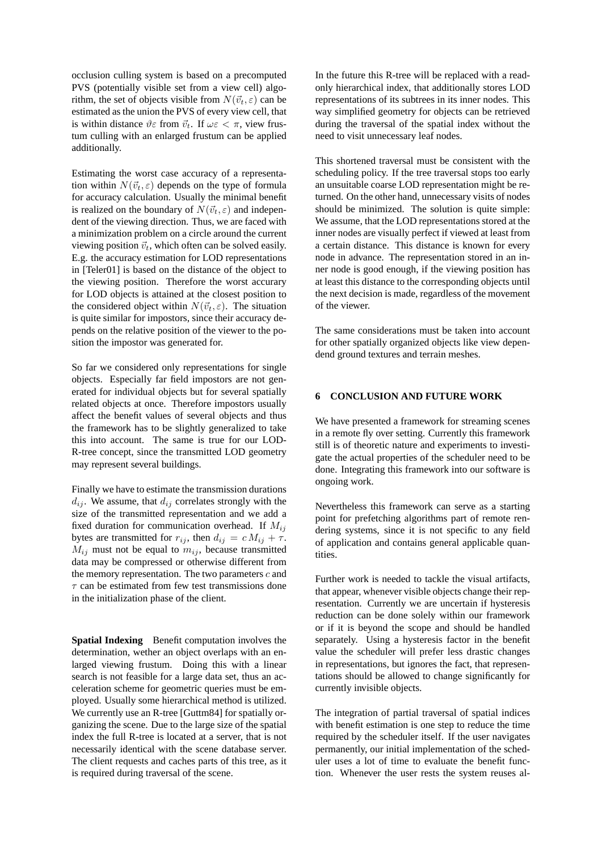occlusion culling system is based on a precomputed PVS (potentially visible set from a view cell) algorithm, the set of objects visible from  $N(\vec{v}_t, \varepsilon)$  can be estimated as the union the PVS of every view cell, that is within distance  $\vartheta \varepsilon$  from  $\vec{v}_t$ . If  $\omega \varepsilon < \pi$ , view frustum culling with an enlarged frustum can be applied additionally.

Estimating the worst case accuracy of a representation within  $N(\vec{v}_t, \varepsilon)$  depends on the type of formula for accuracy calculation. Usually the minimal benefit is realized on the boundary of  $N(\vec{v}_t, \varepsilon)$  and independent of the viewing direction. Thus, we are faced with a minimization problem on a circle around the current viewing position  $\vec{v}_t$ , which often can be solved easily. E.g. the accuracy estimation for LOD representations in [Teler01] is based on the distance of the object to the viewing position. Therefore the worst accurary for LOD objects is attained at the closest position to the considered object within  $N(\vec{v}_t, \varepsilon)$ . The situation is quite similar for impostors, since their accuracy depends on the relative position of the viewer to the position the impostor was generated for.

So far we considered only representations for single objects. Especially far field impostors are not generated for individual objects but for several spatially related objects at once. Therefore impostors usually affect the benefit values of several objects and thus the framework has to be slightly generalized to take this into account. The same is true for our LOD-R-tree concept, since the transmitted LOD geometry may represent several buildings.

Finally we have to estimate the transmission durations  $d_{ij}$ . We assume, that  $d_{ij}$  correlates strongly with the size of the transmitted representation and we add a fixed duration for communication overhead. If  $M_{ij}$ bytes are transmitted for  $r_{ij}$ , then  $d_{ij} = c M_{ij} + \tau$ .  $M_{ij}$  must not be equal to  $m_{ij}$ , because transmitted data may be compressed or otherwise different from the memory representation. The two parameters  $c$  and  $\tau$  can be estimated from few test transmissions done in the initialization phase of the client.

**Spatial Indexing** Benefit computation involves the determination, wether an object overlaps with an enlarged viewing frustum. Doing this with a linear search is not feasible for a large data set, thus an acceleration scheme for geometric queries must be employed. Usually some hierarchical method is utilized. We currently use an R-tree [Guttm84] for spatially organizing the scene. Due to the large size of the spatial index the full R-tree is located at a server, that is not necessarily identical with the scene database server. The client requests and caches parts of this tree, as it is required during traversal of the scene.

In the future this R-tree will be replaced with a readonly hierarchical index, that additionally stores LOD representations of its subtrees in its inner nodes. This way simplified geometry for objects can be retrieved during the traversal of the spatial index without the need to visit unnecessary leaf nodes.

This shortened traversal must be consistent with the scheduling policy. If the tree traversal stops too early an unsuitable coarse LOD representation might be returned. On the other hand, unnecessary visits of nodes should be minimized. The solution is quite simple: We assume, that the LOD representations stored at the inner nodes are visually perfect if viewed at least from a certain distance. This distance is known for every node in advance. The representation stored in an inner node is good enough, if the viewing position has at least this distance to the corresponding objects until the next decision is made, regardless of the movement of the viewer.

The same considerations must be taken into account for other spatially organized objects like view dependend ground textures and terrain meshes.

## **6 CONCLUSION AND FUTURE WORK**

We have presented a framework for streaming scenes in a remote fly over setting. Currently this framework still is of theoretic nature and experiments to investigate the actual properties of the scheduler need to be done. Integrating this framework into our software is ongoing work.

Nevertheless this framework can serve as a starting point for prefetching algorithms part of remote rendering systems, since it is not specific to any field of application and contains general applicable quantities.

Further work is needed to tackle the visual artifacts, that appear, whenever visible objects change their representation. Currently we are uncertain if hysteresis reduction can be done solely within our framework or if it is beyond the scope and should be handled separately. Using a hysteresis factor in the benefit value the scheduler will prefer less drastic changes in representations, but ignores the fact, that representations should be allowed to change significantly for currently invisible objects.

The integration of partial traversal of spatial indices with benefit estimation is one step to reduce the time required by the scheduler itself. If the user navigates permanently, our initial implementation of the scheduler uses a lot of time to evaluate the benefit function. Whenever the user rests the system reuses al